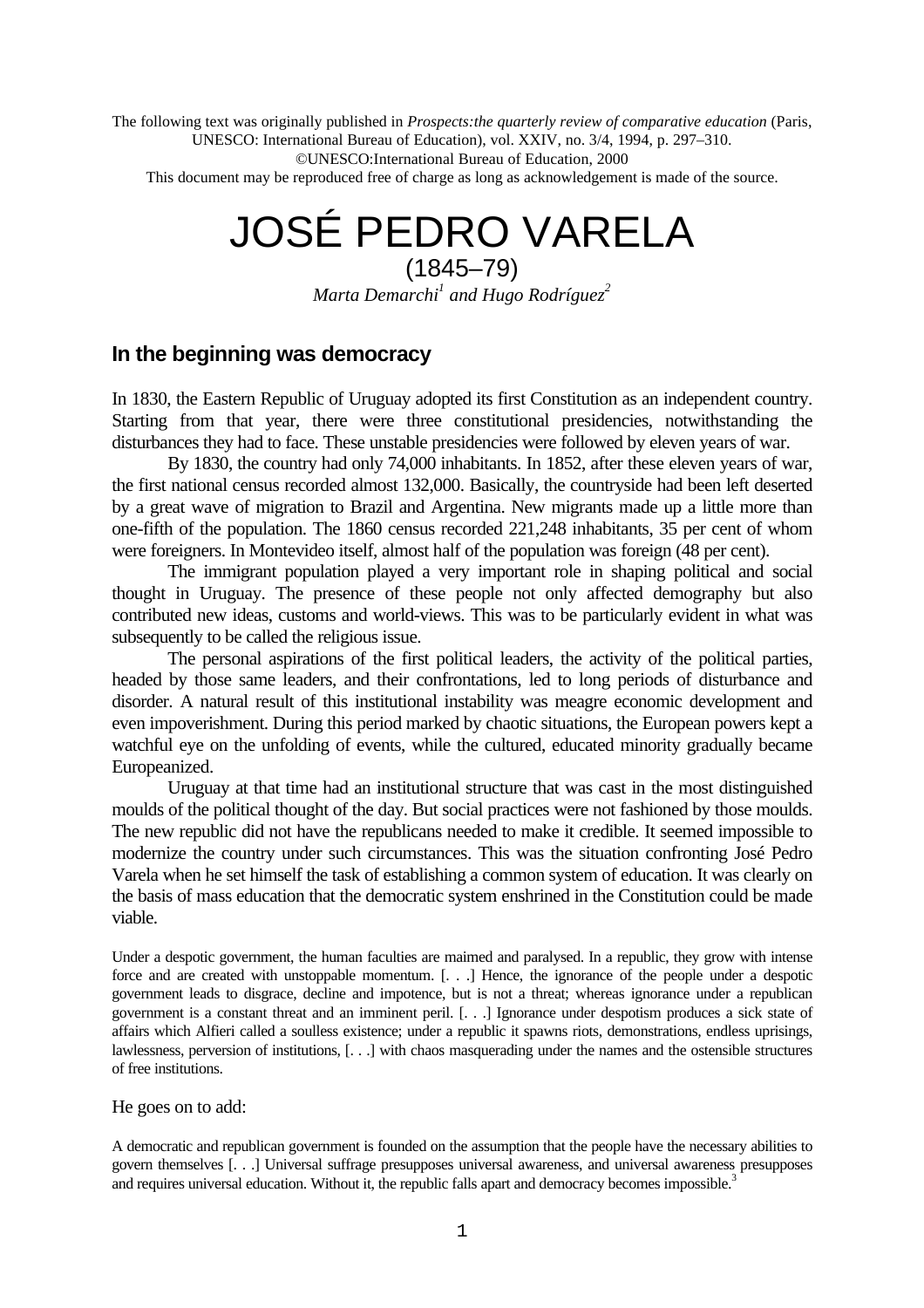The following text was originally published in *Prospects:the quarterly review of comparative education* (Paris, UNESCO: International Bureau of Education), vol. XXIV, no. 3/4, 1994, p. 297–310. ©UNESCO:International Bureau of Education, 2000

This document may be reproduced free of charge as long as acknowledgement is made of the source.

# JOSÉ PEDRO VARELA (1845–79)

*Marta Demarchi<sup>1</sup> and Hugo Rodríguez<sup>2</sup>*

### **In the beginning was democracy**

In 1830, the Eastern Republic of Uruguay adopted its first Constitution as an independent country. Starting from that year, there were three constitutional presidencies, notwithstanding the disturbances they had to face. These unstable presidencies were followed by eleven years of war.

By 1830, the country had only 74,000 inhabitants. In 1852, after these eleven years of war, the first national census recorded almost 132,000. Basically, the countryside had been left deserted by a great wave of migration to Brazil and Argentina. New migrants made up a little more than one-fifth of the population. The 1860 census recorded 221,248 inhabitants, 35 per cent of whom were foreigners. In Montevideo itself, almost half of the population was foreign (48 per cent).

The immigrant population played a very important role in shaping political and social thought in Uruguay. The presence of these people not only affected demography but also contributed new ideas, customs and world-views. This was to be particularly evident in what was subsequently to be called the religious issue.

The personal aspirations of the first political leaders, the activity of the political parties, headed by those same leaders, and their confrontations, led to long periods of disturbance and disorder. A natural result of this institutional instability was meagre economic development and even impoverishment. During this period marked by chaotic situations, the European powers kept a watchful eye on the unfolding of events, while the cultured, educated minority gradually became Europeanized.

Uruguay at that time had an institutional structure that was cast in the most distinguished moulds of the political thought of the day. But social practices were not fashioned by those moulds. The new republic did not have the republicans needed to make it credible. It seemed impossible to modernize the country under such circumstances. This was the situation confronting José Pedro Varela when he set himself the task of establishing a common system of education. It was clearly on the basis of mass education that the democratic system enshrined in the Constitution could be made viable.

Under a despotic government, the human faculties are maimed and paralysed. In a republic, they grow with intense force and are created with unstoppable momentum. [. . .] Hence, the ignorance of the people under a despotic government leads to disgrace, decline and impotence, but is not a threat; whereas ignorance under a republican government is a constant threat and an imminent peril. [. . .] Ignorance under despotism produces a sick state of affairs which Alfieri called a soulless existence; under a republic it spawns riots, demonstrations, endless uprisings, lawlessness, perversion of institutions, [. . .] with chaos masquerading under the names and the ostensible structures of free institutions.

#### He goes on to add:

A democratic and republican government is founded on the assumption that the people have the necessary abilities to govern themselves [. . .] Universal suffrage presupposes universal awareness, and universal awareness presupposes and requires universal education. Without it, the republic falls apart and democracy becomes impossible.<sup>3</sup>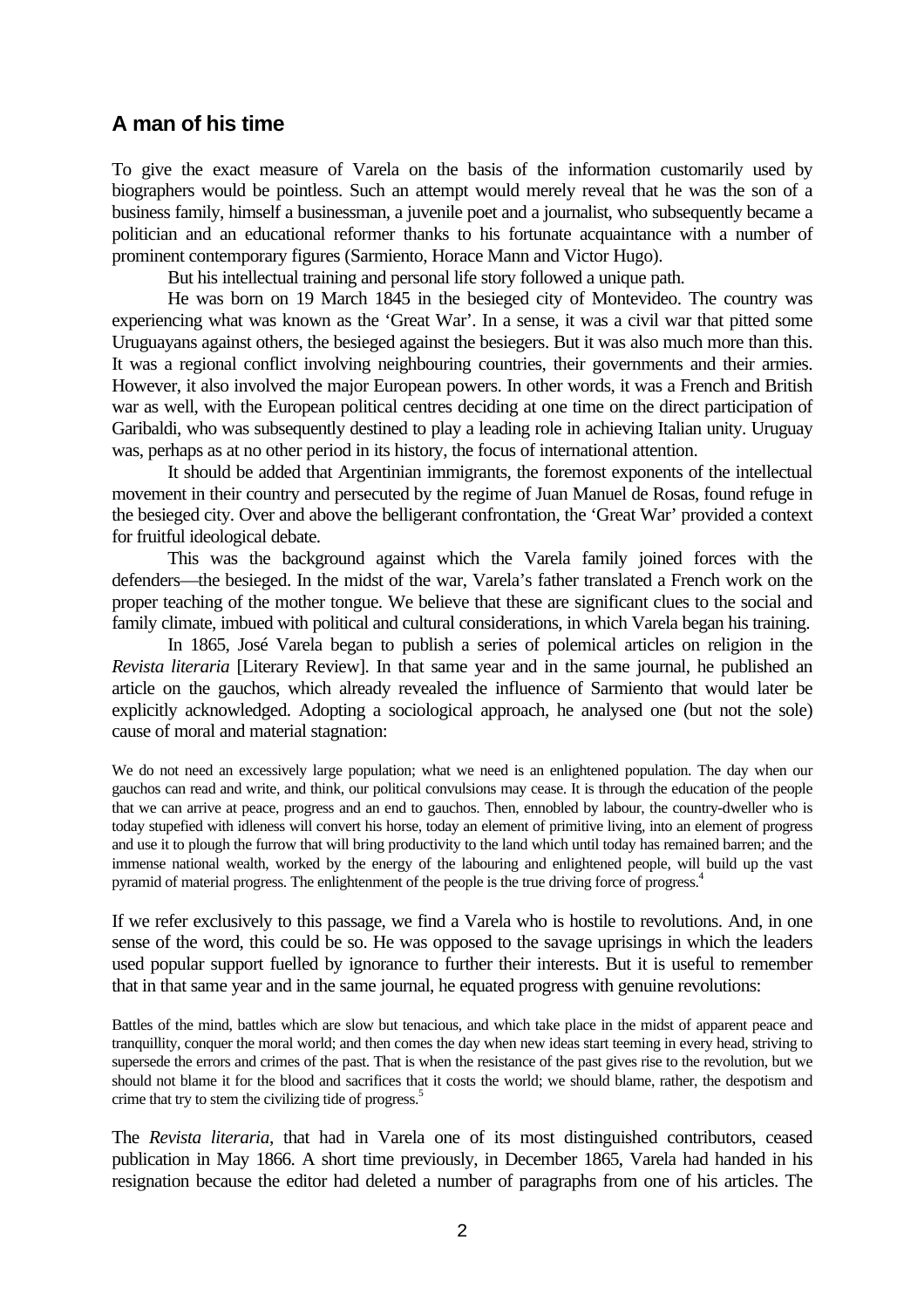# **A man of his time**

To give the exact measure of Varela on the basis of the information customarily used by biographers would be pointless. Such an attempt would merely reveal that he was the son of a business family, himself a businessman, a juvenile poet and a journalist, who subsequently became a politician and an educational reformer thanks to his fortunate acquaintance with a number of prominent contemporary figures (Sarmiento, Horace Mann and Victor Hugo).

But his intellectual training and personal life story followed a unique path.

He was born on 19 March 1845 in the besieged city of Montevideo. The country was experiencing what was known as the 'Great War'. In a sense, it was a civil war that pitted some Uruguayans against others, the besieged against the besiegers. But it was also much more than this. It was a regional conflict involving neighbouring countries, their governments and their armies. However, it also involved the major European powers. In other words, it was a French and British war as well, with the European political centres deciding at one time on the direct participation of Garibaldi, who was subsequently destined to play a leading role in achieving Italian unity. Uruguay was, perhaps as at no other period in its history, the focus of international attention.

It should be added that Argentinian immigrants, the foremost exponents of the intellectual movement in their country and persecuted by the regime of Juan Manuel de Rosas, found refuge in the besieged city. Over and above the belligerant confrontation, the 'Great War' provided a context for fruitful ideological debate.

This was the background against which the Varela family joined forces with the defenders—the besieged. In the midst of the war, Varela's father translated a French work on the proper teaching of the mother tongue. We believe that these are significant clues to the social and family climate, imbued with political and cultural considerations, in which Varela began his training.

In 1865, José Varela began to publish a series of polemical articles on religion in the *Revista literaria* [Literary Review]. In that same year and in the same journal, he published an article on the gauchos, which already revealed the influence of Sarmiento that would later be explicitly acknowledged. Adopting a sociological approach, he analysed one (but not the sole) cause of moral and material stagnation:

We do not need an excessively large population; what we need is an enlightened population. The day when our gauchos can read and write, and think, our political convulsions may cease. It is through the education of the people that we can arrive at peace, progress and an end to gauchos. Then, ennobled by labour, the country-dweller who is today stupefied with idleness will convert his horse, today an element of primitive living, into an element of progress and use it to plough the furrow that will bring productivity to the land which until today has remained barren; and the immense national wealth, worked by the energy of the labouring and enlightened people, will build up the vast pyramid of material progress. The enlightenment of the people is the true driving force of progress.<sup>4</sup>

If we refer exclusively to this passage, we find a Varela who is hostile to revolutions. And, in one sense of the word, this could be so. He was opposed to the savage uprisings in which the leaders used popular support fuelled by ignorance to further their interests. But it is useful to remember that in that same year and in the same journal, he equated progress with genuine revolutions:

Battles of the mind, battles which are slow but tenacious, and which take place in the midst of apparent peace and tranquillity, conquer the moral world; and then comes the day when new ideas start teeming in every head, striving to supersede the errors and crimes of the past. That is when the resistance of the past gives rise to the revolution, but we should not blame it for the blood and sacrifices that it costs the world; we should blame, rather, the despotism and crime that try to stem the civilizing tide of progress.<sup>5</sup>

The *Revista literaria*, that had in Varela one of its most distinguished contributors, ceased publication in May 1866. A short time previously, in December 1865, Varela had handed in his resignation because the editor had deleted a number of paragraphs from one of his articles. The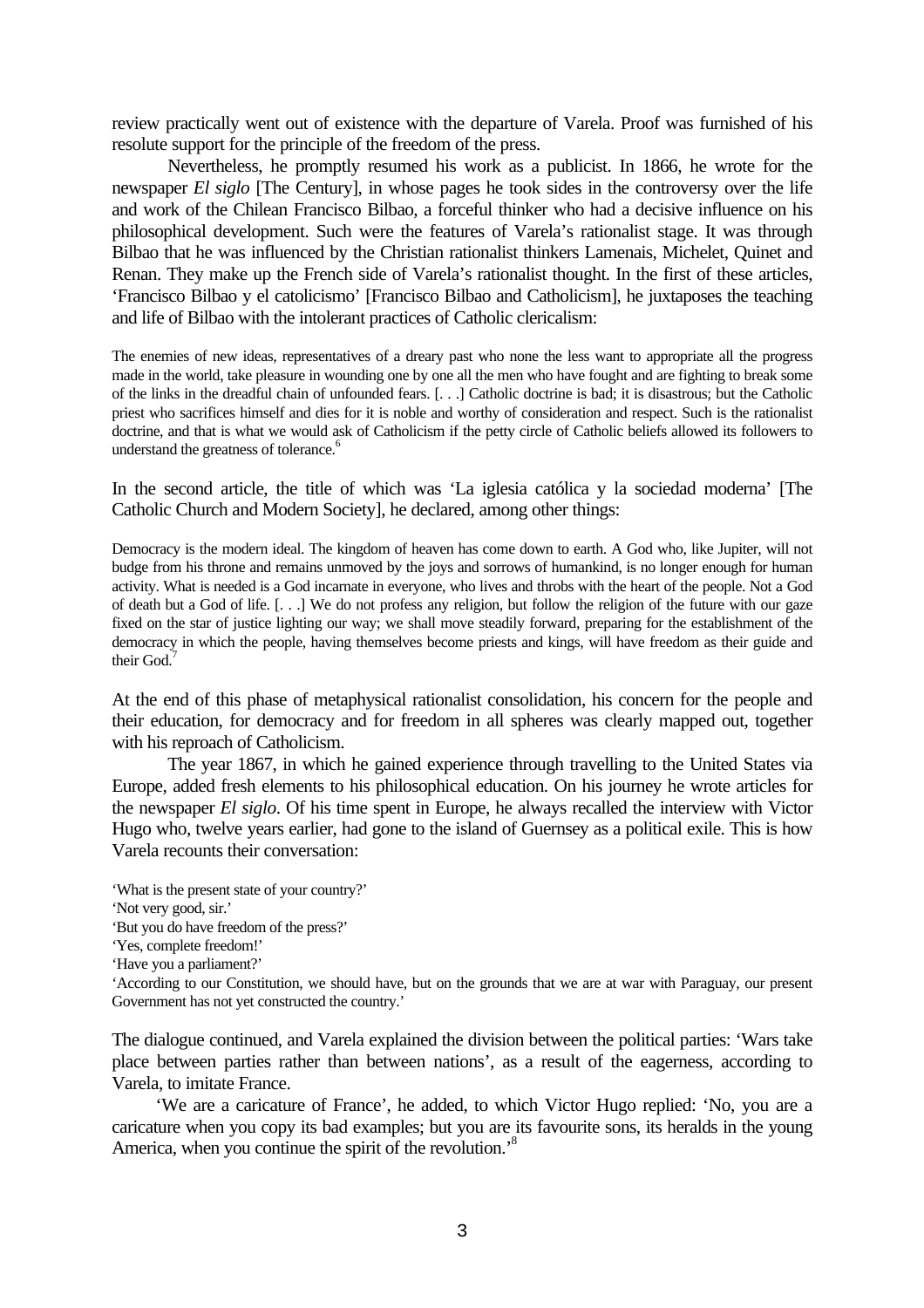review practically went out of existence with the departure of Varela. Proof was furnished of his resolute support for the principle of the freedom of the press.

Nevertheless, he promptly resumed his work as a publicist. In 1866, he wrote for the newspaper *El siglo* [The Century], in whose pages he took sides in the controversy over the life and work of the Chilean Francisco Bilbao, a forceful thinker who had a decisive influence on his philosophical development. Such were the features of Varela's rationalist stage. It was through Bilbao that he was influenced by the Christian rationalist thinkers Lamenais, Michelet, Quinet and Renan. They make up the French side of Varela's rationalist thought. In the first of these articles, 'Francisco Bilbao y el catolicismo' [Francisco Bilbao and Catholicism], he juxtaposes the teaching and life of Bilbao with the intolerant practices of Catholic clericalism:

The enemies of new ideas, representatives of a dreary past who none the less want to appropriate all the progress made in the world, take pleasure in wounding one by one all the men who have fought and are fighting to break some of the links in the dreadful chain of unfounded fears. [. . .] Catholic doctrine is bad; it is disastrous; but the Catholic priest who sacrifices himself and dies for it is noble and worthy of consideration and respect. Such is the rationalist doctrine, and that is what we would ask of Catholicism if the petty circle of Catholic beliefs allowed its followers to understand the greatness of tolerance.<sup>6</sup>

In the second article, the title of which was 'La iglesia católica y la sociedad moderna' [The Catholic Church and Modern Society], he declared, among other things:

Democracy is the modern ideal. The kingdom of heaven has come down to earth. A God who, like Jupiter, will not budge from his throne and remains unmoved by the joys and sorrows of humankind, is no longer enough for human activity. What is needed is a God incarnate in everyone, who lives and throbs with the heart of the people. Not a God of death but a God of life. [. . .] We do not profess any religion, but follow the religion of the future with our gaze fixed on the star of justice lighting our way; we shall move steadily forward, preparing for the establishment of the democracy in which the people, having themselves become priests and kings, will have freedom as their guide and their God.

At the end of this phase of metaphysical rationalist consolidation, his concern for the people and their education, for democracy and for freedom in all spheres was clearly mapped out, together with his reproach of Catholicism.

The year 1867, in which he gained experience through travelling to the United States via Europe, added fresh elements to his philosophical education. On his journey he wrote articles for the newspaper *El siglo*. Of his time spent in Europe, he always recalled the interview with Victor Hugo who, twelve years earlier, had gone to the island of Guernsey as a political exile. This is how Varela recounts their conversation:

'What is the present state of your country?'

'But you do have freedom of the press?'

'Have you a parliament?'

'According to our Constitution, we should have, but on the grounds that we are at war with Paraguay, our present Government has not yet constructed the country.'

The dialogue continued, and Varela explained the division between the political parties: 'Wars take place between parties rather than between nations', as a result of the eagerness, according to Varela, to imitate France.

'We are a caricature of France', he added, to which Victor Hugo replied: 'No, you are a caricature when you copy its bad examples; but you are its favourite sons, its heralds in the young America, when you continue the spirit of the revolution.<sup>8</sup>

<sup>&#</sup>x27;Not very good, sir.'

<sup>&#</sup>x27;Yes, complete freedom!'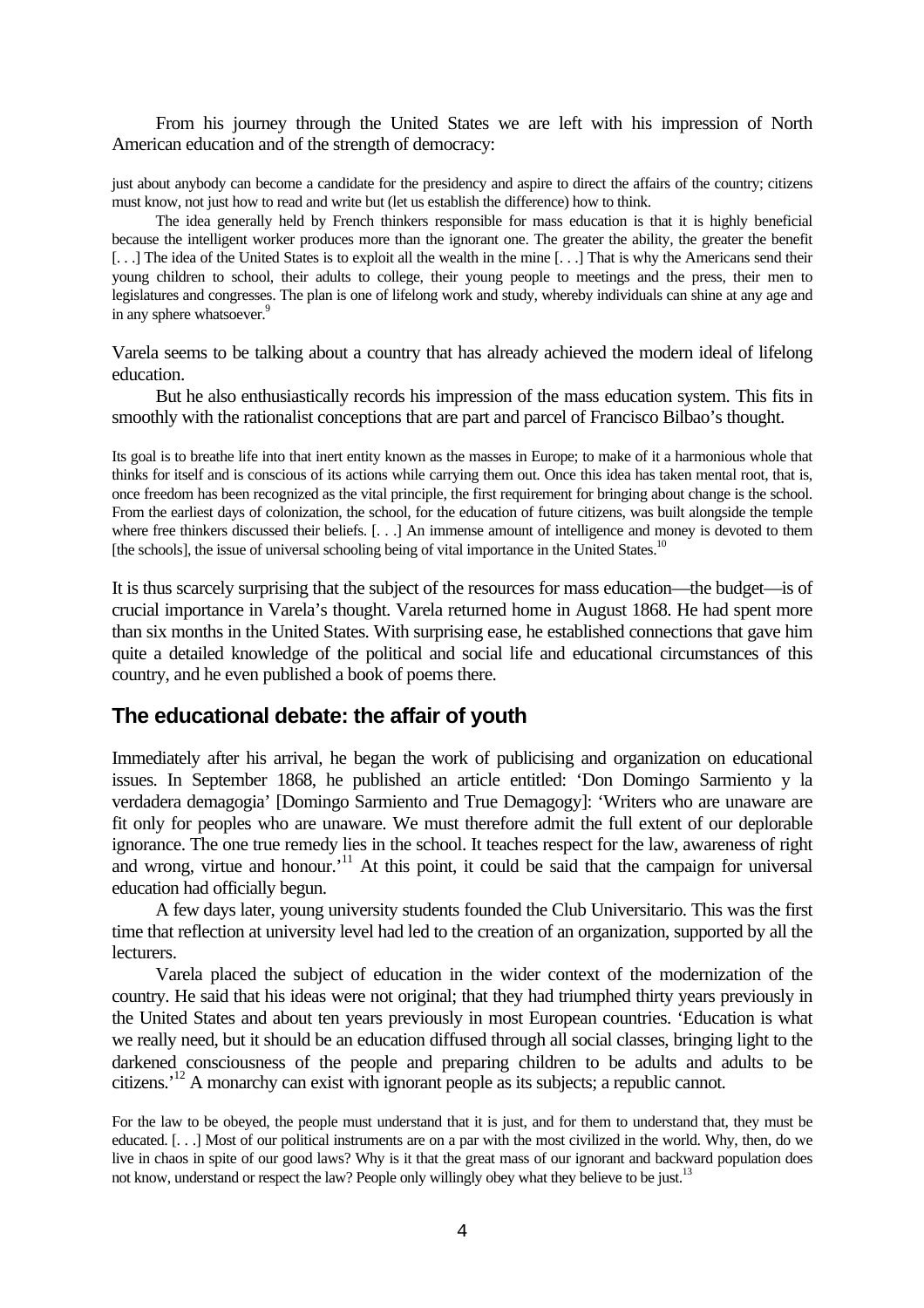From his journey through the United States we are left with his impression of North American education and of the strength of democracy:

just about anybody can become a candidate for the presidency and aspire to direct the affairs of the country; citizens must know, not just how to read and write but (let us establish the difference) how to think.

The idea generally held by French thinkers responsible for mass education is that it is highly beneficial because the intelligent worker produces more than the ignorant one. The greater the ability, the greater the benefit [. . .] The idea of the United States is to exploit all the wealth in the mine [. . .] That is why the Americans send their young children to school, their adults to college, their young people to meetings and the press, their men to legislatures and congresses. The plan is one of lifelong work and study, whereby individuals can shine at any age and in any sphere whatsoever.<sup>9</sup>

Varela seems to be talking about a country that has already achieved the modern ideal of lifelong education.

But he also enthusiastically records his impression of the mass education system. This fits in smoothly with the rationalist conceptions that are part and parcel of Francisco Bilbao's thought.

Its goal is to breathe life into that inert entity known as the masses in Europe; to make of it a harmonious whole that thinks for itself and is conscious of its actions while carrying them out. Once this idea has taken mental root, that is, once freedom has been recognized as the vital principle, the first requirement for bringing about change is the school. From the earliest days of colonization, the school, for the education of future citizens, was built alongside the temple where free thinkers discussed their beliefs. [...] An immense amount of intelligence and money is devoted to them [the schools], the issue of universal schooling being of vital importance in the United States.<sup>10</sup>

It is thus scarcely surprising that the subject of the resources for mass education—the budget—is of crucial importance in Varela's thought. Varela returned home in August 1868. He had spent more than six months in the United States. With surprising ease, he established connections that gave him quite a detailed knowledge of the political and social life and educational circumstances of this country, and he even published a book of poems there.

#### **The educational debate: the affair of youth**

Immediately after his arrival, he began the work of publicising and organization on educational issues. In September 1868, he published an article entitled: 'Don Domingo Sarmiento y la verdadera demagogia' [Domingo Sarmiento and True Demagogy]: 'Writers who are unaware are fit only for peoples who are unaware. We must therefore admit the full extent of our deplorable ignorance. The one true remedy lies in the school. It teaches respect for the law, awareness of right and wrong, virtue and honour.<sup>11</sup> At this point, it could be said that the campaign for universal education had officially begun.

A few days later, young university students founded the Club Universitario. This was the first time that reflection at university level had led to the creation of an organization, supported by all the lecturers.

Varela placed the subject of education in the wider context of the modernization of the country. He said that his ideas were not original; that they had triumphed thirty years previously in the United States and about ten years previously in most European countries. 'Education is what we really need, but it should be an education diffused through all social classes, bringing light to the darkened consciousness of the people and preparing children to be adults and adults to be citizens.<sup>'12</sup> A monarchy can exist with ignorant people as its subjects; a republic cannot.

For the law to be obeyed, the people must understand that it is just, and for them to understand that, they must be educated. [. . .] Most of our political instruments are on a par with the most civilized in the world. Why, then, do we live in chaos in spite of our good laws? Why is it that the great mass of our ignorant and backward population does not know, understand or respect the law? People only willingly obey what they believe to be just.<sup>13</sup>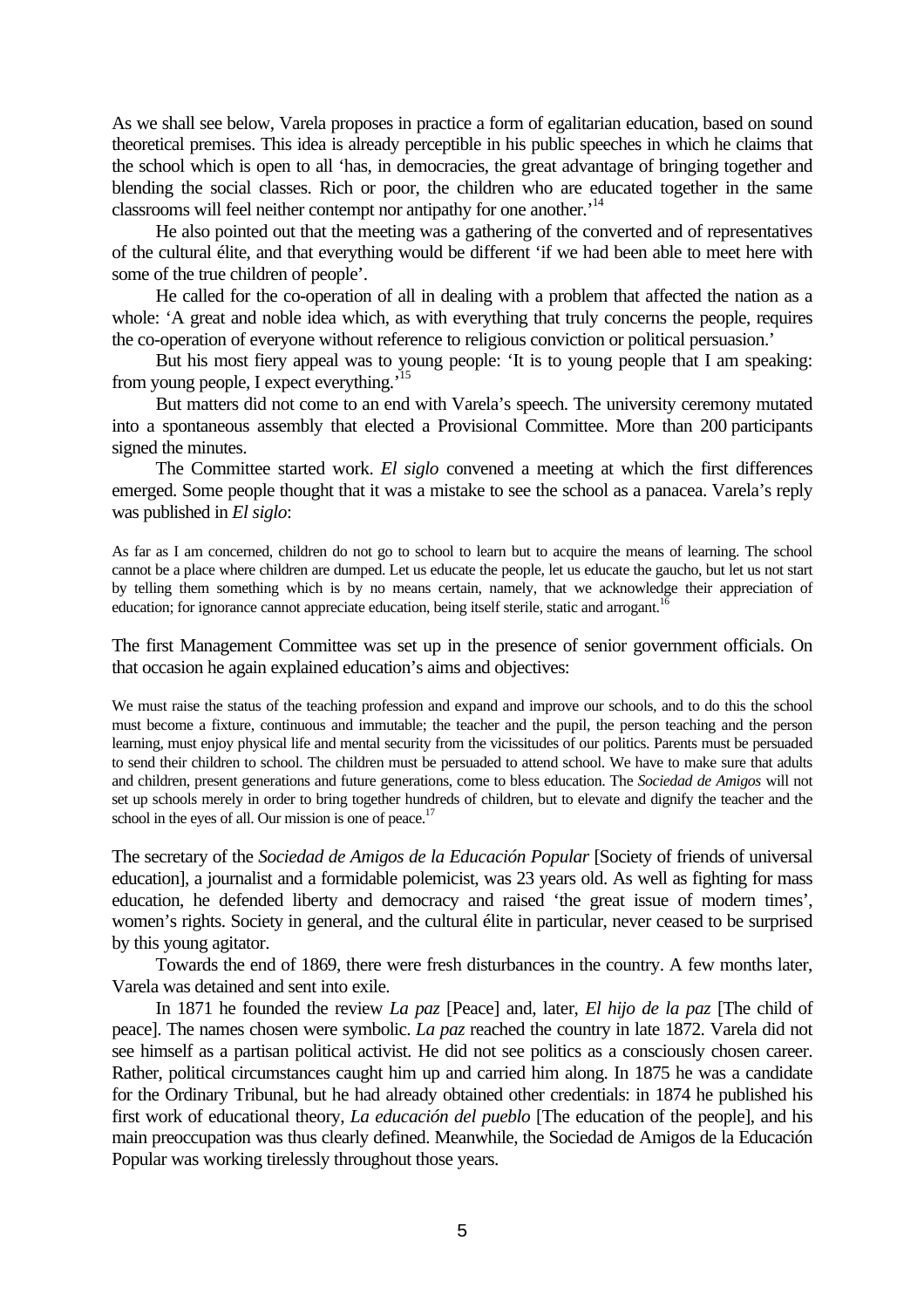As we shall see below, Varela proposes in practice a form of egalitarian education, based on sound theoretical premises. This idea is already perceptible in his public speeches in which he claims that the school which is open to all 'has, in democracies, the great advantage of bringing together and blending the social classes. Rich or poor, the children who are educated together in the same classrooms will feel neither contempt nor antipathy for one another.<sup>14</sup>

He also pointed out that the meeting was a gathering of the converted and of representatives of the cultural élite, and that everything would be different 'if we had been able to meet here with some of the true children of people'.

He called for the co-operation of all in dealing with a problem that affected the nation as a whole: 'A great and noble idea which, as with everything that truly concerns the people, requires the co-operation of everyone without reference to religious conviction or political persuasion.'

But his most fiery appeal was to young people: 'It is to young people that I am speaking: from young people, I expect everything.'

But matters did not come to an end with Varela's speech. The university ceremony mutated into a spontaneous assembly that elected a Provisional Committee. More than 200 participants signed the minutes.

The Committee started work. *El siglo* convened a meeting at which the first differences emerged. Some people thought that it was a mistake to see the school as a panacea. Varela's reply was published in *El siglo*:

As far as I am concerned, children do not go to school to learn but to acquire the means of learning. The school cannot be a place where children are dumped. Let us educate the people, let us educate the gaucho, but let us not start by telling them something which is by no means certain, namely, that we acknowledge their appreciation of education; for ignorance cannot appreciate education, being itself sterile, static and arrogant.<sup>16</sup>

The first Management Committee was set up in the presence of senior government officials. On that occasion he again explained education's aims and objectives:

We must raise the status of the teaching profession and expand and improve our schools, and to do this the school must become a fixture, continuous and immutable; the teacher and the pupil, the person teaching and the person learning, must enjoy physical life and mental security from the vicissitudes of our politics. Parents must be persuaded to send their children to school. The children must be persuaded to attend school. We have to make sure that adults and children, present generations and future generations, come to bless education. The *Sociedad de Amigos* will not set up schools merely in order to bring together hundreds of children, but to elevate and dignify the teacher and the school in the eyes of all. Our mission is one of peace.<sup>17</sup>

The secretary of the *Sociedad de Amigos de la Educación Popular* [Society of friends of universal education], a journalist and a formidable polemicist, was 23 years old. As well as fighting for mass education, he defended liberty and democracy and raised 'the great issue of modern times', women's rights. Society in general, and the cultural élite in particular, never ceased to be surprised by this young agitator.

Towards the end of 1869, there were fresh disturbances in the country. A few months later, Varela was detained and sent into exile.

In 1871 he founded the review *La paz* [Peace] and, later, *El hijo de la paz* [The child of peace]. The names chosen were symbolic. *La paz* reached the country in late 1872. Varela did not see himself as a partisan political activist. He did not see politics as a consciously chosen career. Rather, political circumstances caught him up and carried him along. In 1875 he was a candidate for the Ordinary Tribunal, but he had already obtained other credentials: in 1874 he published his first work of educational theory, *La educación del pueblo* [The education of the people], and his main preoccupation was thus clearly defined. Meanwhile, the Sociedad de Amigos de la Educación Popular was working tirelessly throughout those years.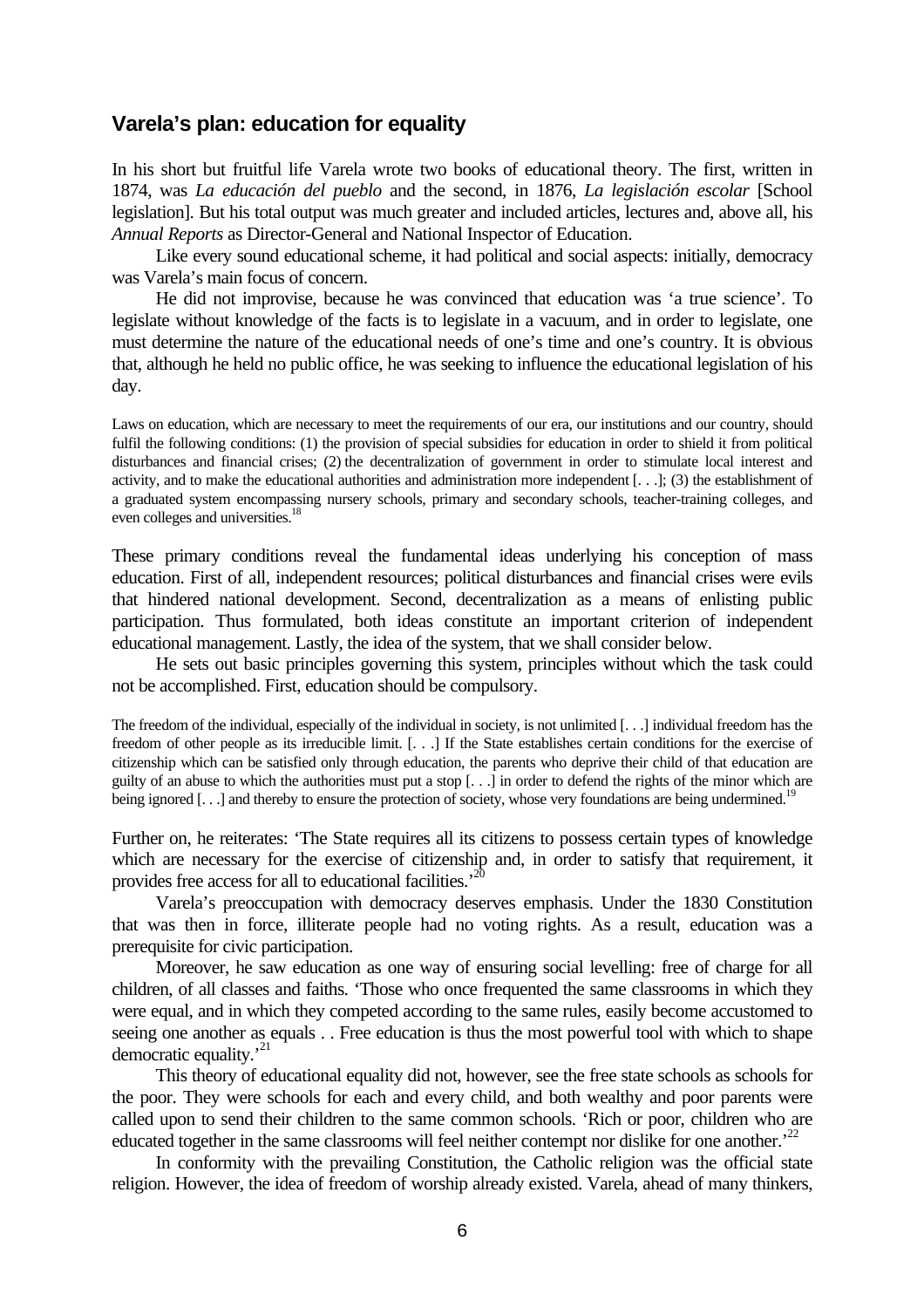#### **Varela's plan: education for equality**

In his short but fruitful life Varela wrote two books of educational theory. The first, written in 1874, was *La educación del pueblo* and the second, in 1876, *La legislación escolar* [School legislation]. But his total output was much greater and included articles, lectures and, above all, his *Annual Reports* as Director-General and National Inspector of Education.

Like every sound educational scheme, it had political and social aspects: initially, democracy was Varela's main focus of concern.

He did not improvise, because he was convinced that education was 'a true science'. To legislate without knowledge of the facts is to legislate in a vacuum, and in order to legislate, one must determine the nature of the educational needs of one's time and one's country. It is obvious that, although he held no public office, he was seeking to influence the educational legislation of his day.

Laws on education, which are necessary to meet the requirements of our era, our institutions and our country, should fulfil the following conditions: (1) the provision of special subsidies for education in order to shield it from political disturbances and financial crises; (2) the decentralization of government in order to stimulate local interest and activity, and to make the educational authorities and administration more independent [. . .]; (3) the establishment of a graduated system encompassing nursery schools, primary and secondary schools, teacher-training colleges, and even colleges and universities.<sup>18</sup>

These primary conditions reveal the fundamental ideas underlying his conception of mass education. First of all, independent resources; political disturbances and financial crises were evils that hindered national development. Second, decentralization as a means of enlisting public participation. Thus formulated, both ideas constitute an important criterion of independent educational management. Lastly, the idea of the system, that we shall consider below.

He sets out basic principles governing this system, principles without which the task could not be accomplished. First, education should be compulsory.

The freedom of the individual, especially of the individual in society, is not unlimited [. . .] individual freedom has the freedom of other people as its irreducible limit. [. . .] If the State establishes certain conditions for the exercise of citizenship which can be satisfied only through education, the parents who deprive their child of that education are guilty of an abuse to which the authorities must put a stop [. . .] in order to defend the rights of the minor which are being ignored  $[\ldots]$  and thereby to ensure the protection of society, whose very foundations are being undermined.<sup>19</sup>

Further on, he reiterates: 'The State requires all its citizens to possess certain types of knowledge which are necessary for the exercise of citizenship and, in order to satisfy that requirement, it provides free access for all to educational facilities.<sup>20</sup>

Varela's preoccupation with democracy deserves emphasis. Under the 1830 Constitution that was then in force, illiterate people had no voting rights. As a result, education was a prerequisite for civic participation.

Moreover, he saw education as one way of ensuring social levelling: free of charge for all children, of all classes and faiths. 'Those who once frequented the same classrooms in which they were equal, and in which they competed according to the same rules, easily become accustomed to seeing one another as equals . . Free education is thus the most powerful tool with which to shape democratic equality.<sup>21</sup>

This theory of educational equality did not, however, see the free state schools as schools for the poor. They were schools for each and every child, and both wealthy and poor parents were called upon to send their children to the same common schools. 'Rich or poor, children who are educated together in the same classrooms will feel neither contempt nor dislike for one another.<sup> $22$ </sup>

In conformity with the prevailing Constitution, the Catholic religion was the official state religion. However, the idea of freedom of worship already existed. Varela, ahead of many thinkers,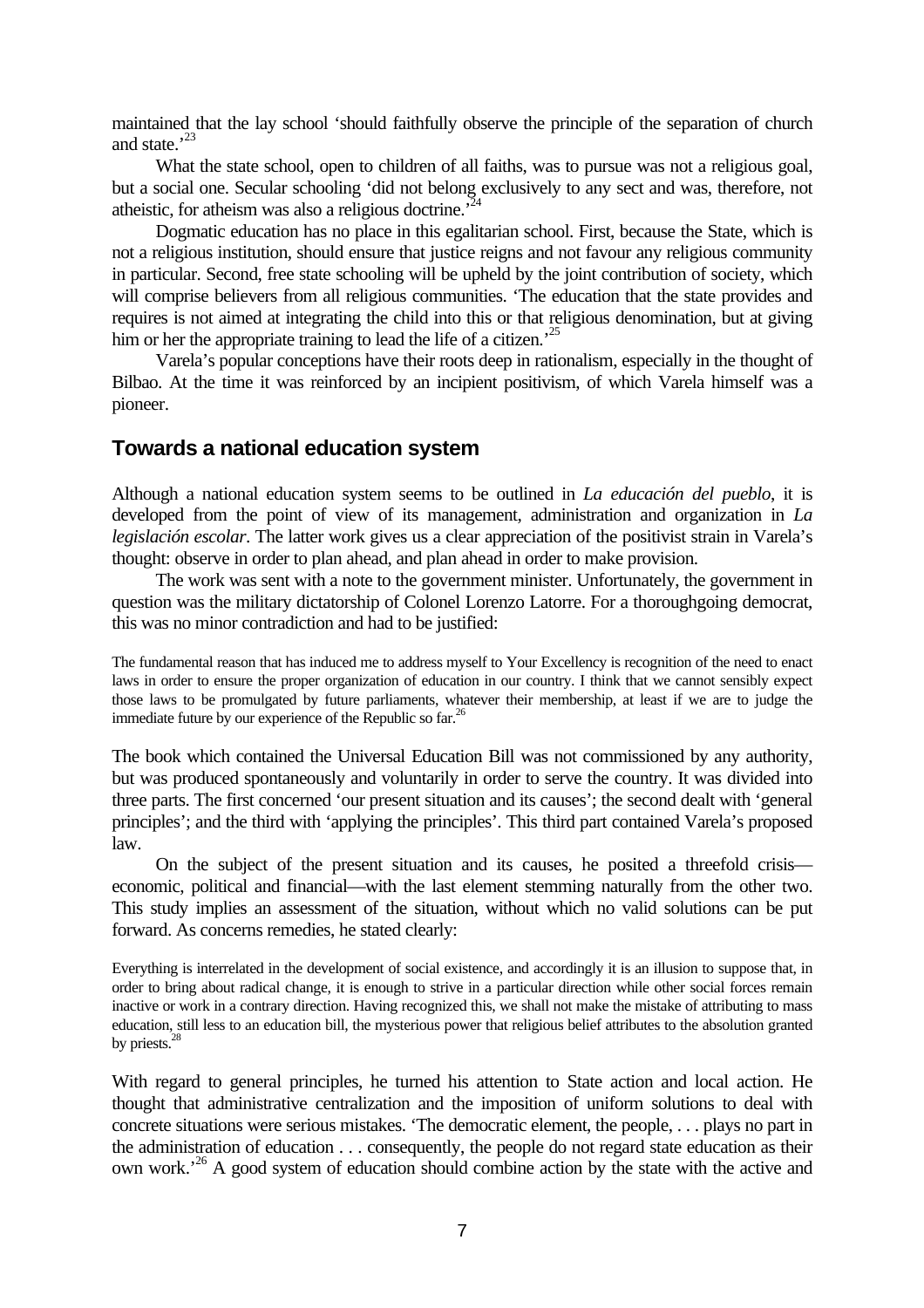maintained that the lay school 'should faithfully observe the principle of the separation of church and state.<sup>23</sup>

What the state school, open to children of all faiths, was to pursue was not a religious goal, but a social one. Secular schooling 'did not belong exclusively to any sect and was, therefore, not atheistic, for atheism was also a religious doctrine.<sup>2</sup>

Dogmatic education has no place in this egalitarian school. First, because the State, which is not a religious institution, should ensure that justice reigns and not favour any religious community in particular. Second, free state schooling will be upheld by the joint contribution of society, which will comprise believers from all religious communities. 'The education that the state provides and requires is not aimed at integrating the child into this or that religious denomination, but at giving him or her the appropriate training to lead the life of a citizen.<sup>25</sup>

Varela's popular conceptions have their roots deep in rationalism, especially in the thought of Bilbao. At the time it was reinforced by an incipient positivism, of which Varela himself was a pioneer.

#### **Towards a national education system**

Although a national education system seems to be outlined in *La educación del pueblo*, it is developed from the point of view of its management, administration and organization in *La legislación escolar*. The latter work gives us a clear appreciation of the positivist strain in Varela's thought: observe in order to plan ahead, and plan ahead in order to make provision.

The work was sent with a note to the government minister. Unfortunately, the government in question was the military dictatorship of Colonel Lorenzo Latorre. For a thoroughgoing democrat, this was no minor contradiction and had to be justified:

The fundamental reason that has induced me to address myself to Your Excellency is recognition of the need to enact laws in order to ensure the proper organization of education in our country. I think that we cannot sensibly expect those laws to be promulgated by future parliaments, whatever their membership, at least if we are to judge the immediate future by our experience of the Republic so far.<sup>26</sup>

The book which contained the Universal Education Bill was not commissioned by any authority, but was produced spontaneously and voluntarily in order to serve the country. It was divided into three parts. The first concerned 'our present situation and its causes'; the second dealt with 'general principles'; and the third with 'applying the principles'. This third part contained Varela's proposed law.

On the subject of the present situation and its causes, he posited a threefold crisis economic, political and financial—with the last element stemming naturally from the other two. This study implies an assessment of the situation, without which no valid solutions can be put forward. As concerns remedies, he stated clearly:

Everything is interrelated in the development of social existence, and accordingly it is an illusion to suppose that, in order to bring about radical change, it is enough to strive in a particular direction while other social forces remain inactive or work in a contrary direction. Having recognized this, we shall not make the mistake of attributing to mass education, still less to an education bill, the mysterious power that religious belief attributes to the absolution granted by priests.<sup>28</sup>

With regard to general principles, he turned his attention to State action and local action. He thought that administrative centralization and the imposition of uniform solutions to deal with concrete situations were serious mistakes. 'The democratic element, the people, . . . plays no part in the administration of education . . . consequently, the people do not regard state education as their own work.'<sup>26</sup> A good system of education should combine action by the state with the active and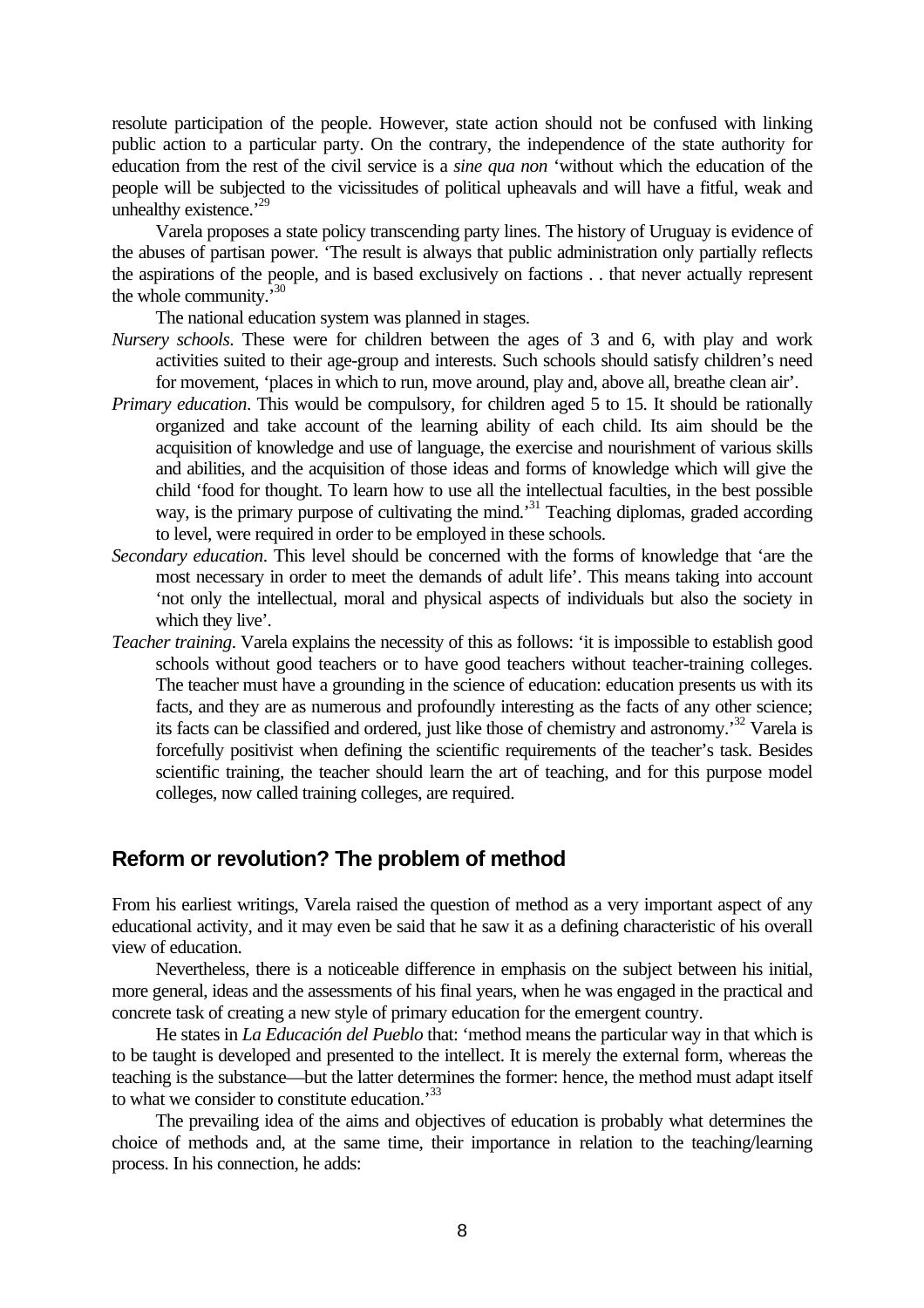resolute participation of the people. However, state action should not be confused with linking public action to a particular party. On the contrary, the independence of the state authority for education from the rest of the civil service is a *sine qua non* 'without which the education of the people will be subjected to the vicissitudes of political upheavals and will have a fitful, weak and unhealthy existence.<sup>'29</sup>

Varela proposes a state policy transcending party lines. The history of Uruguay is evidence of the abuses of partisan power. 'The result is always that public administration only partially reflects the aspirations of the people, and is based exclusively on factions . . that never actually represent the whole community. $30$ 

The national education system was planned in stages.

- *Nursery schools*. These were for children between the ages of 3 and 6, with play and work activities suited to their age-group and interests. Such schools should satisfy children's need for movement, 'places in which to run, move around, play and, above all, breathe clean air'.
- *Primary education*. This would be compulsory, for children aged 5 to 15. It should be rationally organized and take account of the learning ability of each child. Its aim should be the acquisition of knowledge and use of language, the exercise and nourishment of various skills and abilities, and the acquisition of those ideas and forms of knowledge which will give the child 'food for thought. To learn how to use all the intellectual faculties, in the best possible way, is the primary purpose of cultivating the mind.<sup>31</sup> Teaching diplomas, graded according to level, were required in order to be employed in these schools.
- *Secondary education*. This level should be concerned with the forms of knowledge that 'are the most necessary in order to meet the demands of adult life'. This means taking into account 'not only the intellectual, moral and physical aspects of individuals but also the society in which they live'.
- *Teacher training*. Varela explains the necessity of this as follows: 'it is impossible to establish good schools without good teachers or to have good teachers without teacher-training colleges. The teacher must have a grounding in the science of education: education presents us with its facts, and they are as numerous and profoundly interesting as the facts of any other science; its facts can be classified and ordered, just like those of chemistry and astronomy.'<sup>32</sup> Varela is forcefully positivist when defining the scientific requirements of the teacher's task. Besides scientific training, the teacher should learn the art of teaching, and for this purpose model colleges, now called training colleges, are required.

# **Reform or revolution? The problem of method**

From his earliest writings, Varela raised the question of method as a very important aspect of any educational activity, and it may even be said that he saw it as a defining characteristic of his overall view of education.

Nevertheless, there is a noticeable difference in emphasis on the subject between his initial, more general, ideas and the assessments of his final years, when he was engaged in the practical and concrete task of creating a new style of primary education for the emergent country.

He states in *La Educación del Pueblo* that: 'method means the particular way in that which is to be taught is developed and presented to the intellect. It is merely the external form, whereas the teaching is the substance—but the latter determines the former: hence, the method must adapt itself to what we consider to constitute education.<sup>33</sup>

The prevailing idea of the aims and objectives of education is probably what determines the choice of methods and, at the same time, their importance in relation to the teaching/learning process. In his connection, he adds: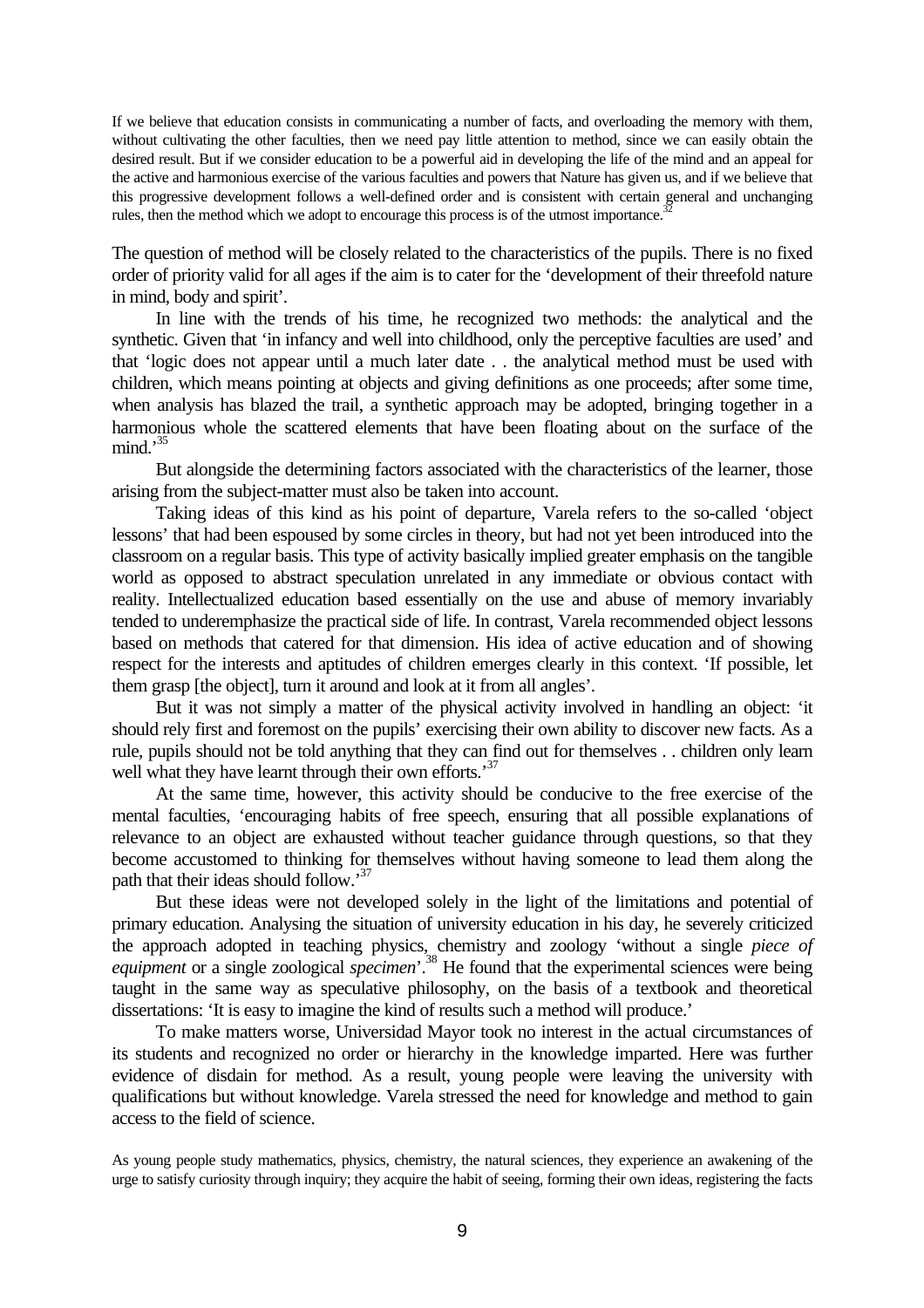If we believe that education consists in communicating a number of facts, and overloading the memory with them, without cultivating the other faculties, then we need pay little attention to method, since we can easily obtain the desired result. But if we consider education to be a powerful aid in developing the life of the mind and an appeal for the active and harmonious exercise of the various faculties and powers that Nature has given us, and if we believe that this progressive development follows a well-defined order and is consistent with certain general and unchanging rules, then the method which we adopt to encourage this process is of the utmost importance.<sup>3</sup>

The question of method will be closely related to the characteristics of the pupils. There is no fixed order of priority valid for all ages if the aim is to cater for the 'development of their threefold nature in mind, body and spirit'.

In line with the trends of his time, he recognized two methods: the analytical and the synthetic. Given that 'in infancy and well into childhood, only the perceptive faculties are used' and that 'logic does not appear until a much later date . . the analytical method must be used with children, which means pointing at objects and giving definitions as one proceeds; after some time, when analysis has blazed the trail, a synthetic approach may be adopted, bringing together in a harmonious whole the scattered elements that have been floating about on the surface of the  $mind$ <sup>35</sup>

But alongside the determining factors associated with the characteristics of the learner, those arising from the subject-matter must also be taken into account.

Taking ideas of this kind as his point of departure, Varela refers to the so-called 'object lessons' that had been espoused by some circles in theory, but had not yet been introduced into the classroom on a regular basis. This type of activity basically implied greater emphasis on the tangible world as opposed to abstract speculation unrelated in any immediate or obvious contact with reality. Intellectualized education based essentially on the use and abuse of memory invariably tended to underemphasize the practical side of life. In contrast, Varela recommended object lessons based on methods that catered for that dimension. His idea of active education and of showing respect for the interests and aptitudes of children emerges clearly in this context. 'If possible, let them grasp [the object], turn it around and look at it from all angles'.

But it was not simply a matter of the physical activity involved in handling an object: 'it should rely first and foremost on the pupils' exercising their own ability to discover new facts. As a rule, pupils should not be told anything that they can find out for themselves . . children only learn well what they have learnt through their own efforts.<sup>37</sup>

At the same time, however, this activity should be conducive to the free exercise of the mental faculties, 'encouraging habits of free speech, ensuring that all possible explanations of relevance to an object are exhausted without teacher guidance through questions, so that they become accustomed to thinking for themselves without having someone to lead them along the path that their ideas should follow.'<sup>37</sup>

But these ideas were not developed solely in the light of the limitations and potential of primary education. Analysing the situation of university education in his day, he severely criticized the approach adopted in teaching physics, chemistry and zoology 'without a single *piece of equipment* or a single zoological *specimen*'. <sup>38</sup> He found that the experimental sciences were being taught in the same way as speculative philosophy, on the basis of a textbook and theoretical dissertations: 'It is easy to imagine the kind of results such a method will produce.'

To make matters worse, Universidad Mayor took no interest in the actual circumstances of its students and recognized no order or hierarchy in the knowledge imparted. Here was further evidence of disdain for method. As a result, young people were leaving the university with qualifications but without knowledge. Varela stressed the need for knowledge and method to gain access to the field of science.

As young people study mathematics, physics, chemistry, the natural sciences, they experience an awakening of the urge to satisfy curiosity through inquiry; they acquire the habit of seeing, forming their own ideas, registering the facts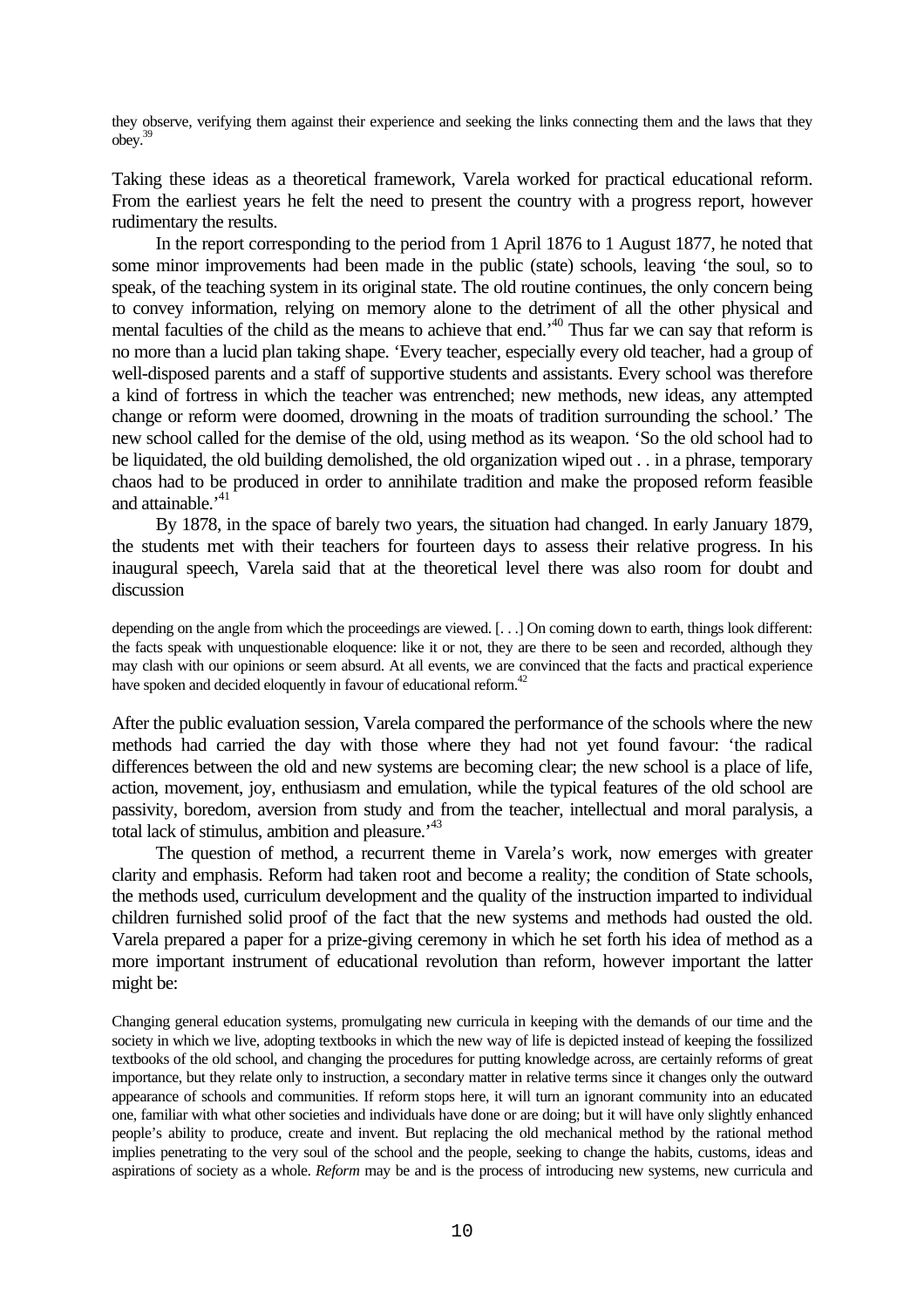they observe, verifying them against their experience and seeking the links connecting them and the laws that they  $obev.<sup>3</sup>$ 

Taking these ideas as a theoretical framework, Varela worked for practical educational reform. From the earliest years he felt the need to present the country with a progress report, however rudimentary the results.

In the report corresponding to the period from 1 April 1876 to 1 August 1877, he noted that some minor improvements had been made in the public (state) schools, leaving 'the soul, so to speak, of the teaching system in its original state. The old routine continues, the only concern being to convey information, relying on memory alone to the detriment of all the other physical and mental faculties of the child as the means to achieve that end.<sup>40</sup> Thus far we can say that reform is no more than a lucid plan taking shape. 'Every teacher, especially every old teacher, had a group of well-disposed parents and a staff of supportive students and assistants. Every school was therefore a kind of fortress in which the teacher was entrenched; new methods, new ideas, any attempted change or reform were doomed, drowning in the moats of tradition surrounding the school.' The new school called for the demise of the old, using method as its weapon. 'So the old school had to be liquidated, the old building demolished, the old organization wiped out . . in a phrase, temporary chaos had to be produced in order to annihilate tradition and make the proposed reform feasible and attainable.<sup>41</sup>

By 1878, in the space of barely two years, the situation had changed. In early January 1879, the students met with their teachers for fourteen days to assess their relative progress. In his inaugural speech, Varela said that at the theoretical level there was also room for doubt and discussion

depending on the angle from which the proceedings are viewed. [. . .] On coming down to earth, things look different: the facts speak with unquestionable eloquence: like it or not, they are there to be seen and recorded, although they may clash with our opinions or seem absurd. At all events, we are convinced that the facts and practical experience have spoken and decided eloquently in favour of educational reform.<sup>42</sup>

After the public evaluation session, Varela compared the performance of the schools where the new methods had carried the day with those where they had not yet found favour: 'the radical differences between the old and new systems are becoming clear; the new school is a place of life, action, movement, joy, enthusiasm and emulation, while the typical features of the old school are passivity, boredom, aversion from study and from the teacher, intellectual and moral paralysis, a total lack of stimulus, ambition and pleasure.<sup>43</sup>

The question of method, a recurrent theme in Varela's work, now emerges with greater clarity and emphasis. Reform had taken root and become a reality; the condition of State schools, the methods used, curriculum development and the quality of the instruction imparted to individual children furnished solid proof of the fact that the new systems and methods had ousted the old. Varela prepared a paper for a prize-giving ceremony in which he set forth his idea of method as a more important instrument of educational revolution than reform, however important the latter might be:

Changing general education systems, promulgating new curricula in keeping with the demands of our time and the society in which we live, adopting textbooks in which the new way of life is depicted instead of keeping the fossilized textbooks of the old school, and changing the procedures for putting knowledge across, are certainly reforms of great importance, but they relate only to instruction, a secondary matter in relative terms since it changes only the outward appearance of schools and communities. If reform stops here, it will turn an ignorant community into an educated one, familiar with what other societies and individuals have done or are doing; but it will have only slightly enhanced people's ability to produce, create and invent. But replacing the old mechanical method by the rational method implies penetrating to the very soul of the school and the people, seeking to change the habits, customs, ideas and aspirations of society as a whole. *Reform* may be and is the process of introducing new systems, new curricula and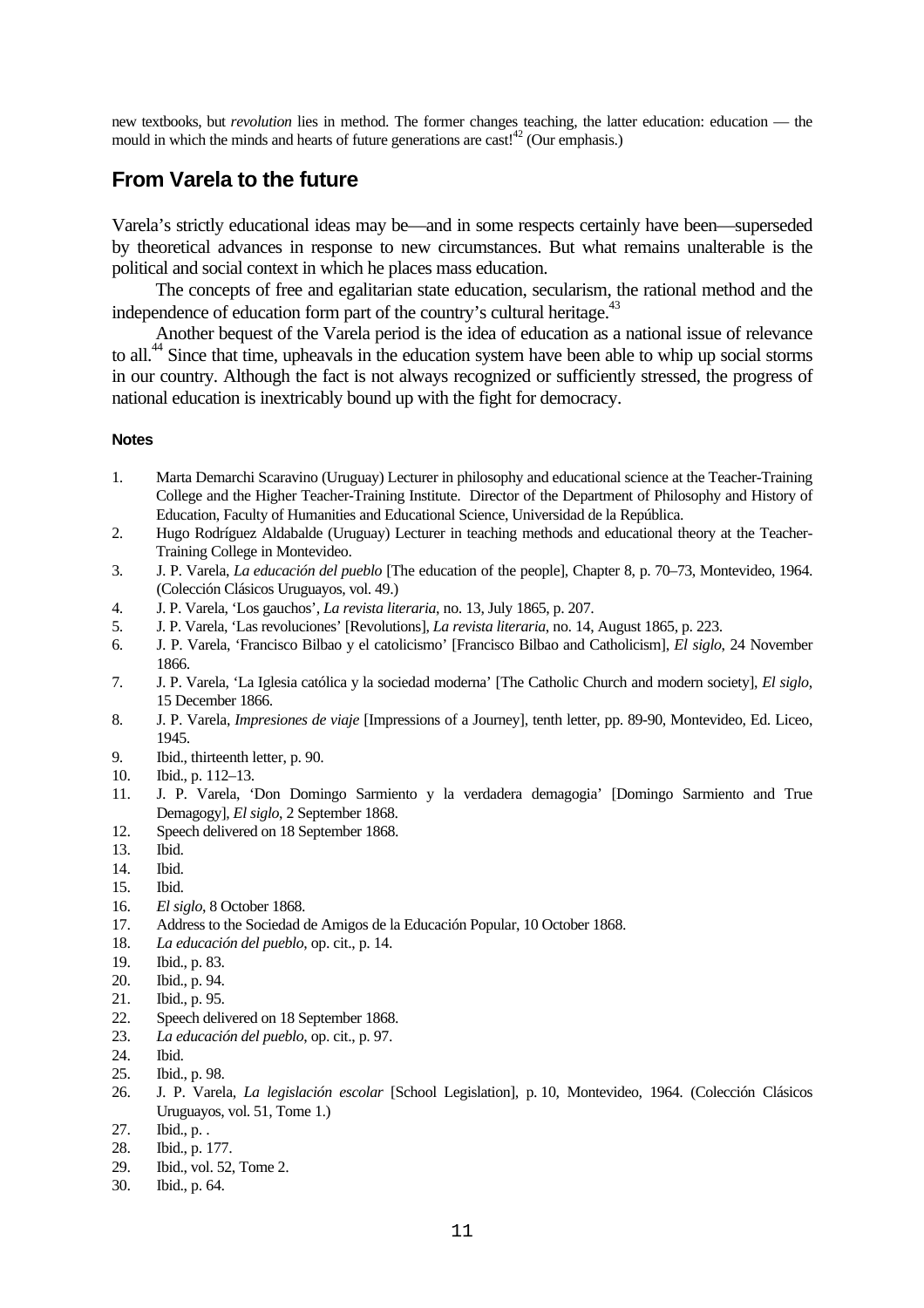new textbooks, but *revolution* lies in method. The former changes teaching, the latter education: education — the mould in which the minds and hearts of future generations are cast!<sup>42</sup> (Our emphasis.)

# **From Varela to the future**

Varela's strictly educational ideas may be—and in some respects certainly have been—superseded by theoretical advances in response to new circumstances. But what remains unalterable is the political and social context in which he places mass education.

The concepts of free and egalitarian state education, secularism, the rational method and the independence of education form part of the country's cultural heritage.<sup>43</sup>

Another bequest of the Varela period is the idea of education as a national issue of relevance to all.<sup>44</sup> Since that time, upheavals in the education system have been able to whip up social storms in our country. Although the fact is not always recognized or sufficiently stressed, the progress of national education is inextricably bound up with the fight for democracy.

#### **Notes**

- 1. Marta Demarchi Scaravino (Uruguay) Lecturer in philosophy and educational science at the Teacher-Training College and the Higher Teacher-Training Institute. Director of the Department of Philosophy and History of Education, Faculty of Humanities and Educational Science, Universidad de la República.
- 2. Hugo Rodríguez Aldabalde (Uruguay) Lecturer in teaching methods and educational theory at the Teacher-Training College in Montevideo.
- 3. J. P. Varela, *La educación del pueblo* [The education of the people], Chapter 8, p. 70–73, Montevideo, 1964. (Colección Clásicos Uruguayos, vol. 49.)
- 4. J. P. Varela, 'Los gauchos', *La revista literaria*, no. 13, July 1865, p. 207.
- 5. J. P. Varela, 'Las revoluciones' [Revolutions], *La revista literaria*, no. 14, August 1865, p. 223.
- 6. J. P. Varela, 'Francisco Bilbao y el catolicismo' [Francisco Bilbao and Catholicism], *El siglo*, 24 November 1866.
- 7. J. P. Varela, 'La Iglesia católica y la sociedad moderna' [The Catholic Church and modern society], *El siglo*, 15 December 1866.
- 8. J. P. Varela, *Impresiones de viaje* [Impressions of a Journey], tenth letter, pp. 89-90, Montevideo, Ed. Liceo, 1945.
- 9. Ibid., thirteenth letter, p. 90.
- 10. Ibid., p. 112–13.
- 11. J. P. Varela, 'Don Domingo Sarmiento y la verdadera demagogia' [Domingo Sarmiento and True Demagogy], *El siglo*, 2 September 1868.
- 12. Speech delivered on 18 September 1868.
- 13. Ibid.
- 14. Ibid.
- 15. Ibid.
- 16. *El siglo*, 8 October 1868.
- 17. Address to the Sociedad de Amigos de la Educación Popular, 10 October 1868.
- 18. *La educación del pueblo*, op. cit., p. 14.
- 19. Ibid., p. 83.
- 20. Ibid., p. 94.
- 21. Ibid., p. 95.
- 22. Speech delivered on 18 September 1868.
- 23. *La educación del pueblo*, op. cit., p. 97.
- 24. Ibid.
- 25. Ibid., p. 98.
- 26. J. P. Varela, *La legislación escolar* [School Legislation], p. 10, Montevideo, 1964. (Colección Clásicos Uruguayos, vol. 51, Tome 1.)
- 27. Ibid., p. .
- 28. Ibid., p. 177.
- 29. Ibid., vol. 52, Tome 2.
- 30. Ibid., p. 64.